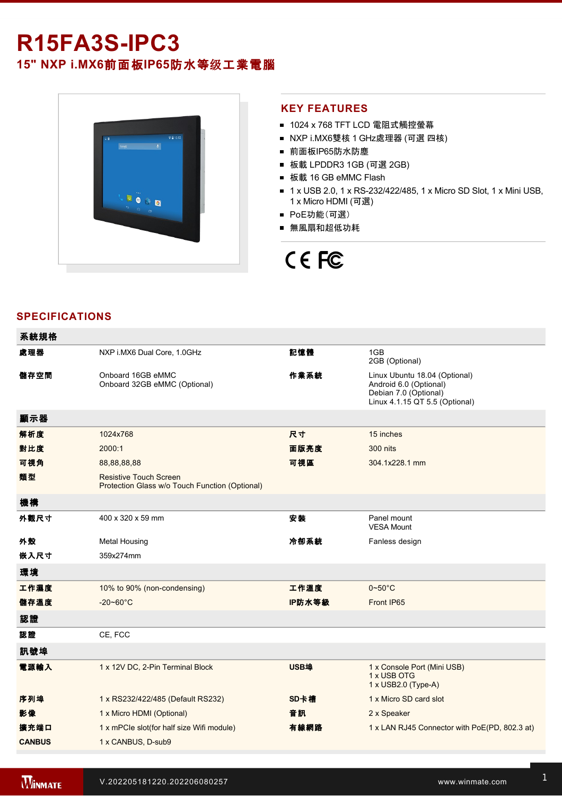## **R15FA3SIPC3**

**15" NXP i.MX6**前面板**IP65**防水等级工業電腦



#### **KEY FEATURES**

- 1024 x 768 TFT LCD 電阻式觸控螢幕
- NXP i.MX6雙核 1 GHz處理器 (可選 四核)
- 前面板IP65防水防塵
- 板載 LPDDR3 1GB (可選 2GB)
- 板載 16 GB eMMC Flash
- 1 x USB 2.0, 1 x RS-232/422/485, 1 x Micro SD Slot, 1 x Mini USB, 1 x Micro HDMI (可選)
- PoE功能(可選)
- 無風扇和超低功耗

# CE FC

### **SPECIFICATIONS**

| 系統規格          |                                                                                 |             |                                                                                                                    |
|---------------|---------------------------------------------------------------------------------|-------------|--------------------------------------------------------------------------------------------------------------------|
| 處理器           | NXP i.MX6 Dual Core, 1.0GHz                                                     | 記憶體         | 1GB<br>2GB (Optional)                                                                                              |
| 儲存空間          | Onboard 16GB eMMC<br>Onboard 32GB eMMC (Optional)                               | 作業系統        | Linux Ubuntu 18.04 (Optional)<br>Android 6.0 (Optional)<br>Debian 7.0 (Optional)<br>Linux 4.1.15 QT 5.5 (Optional) |
| 顯示器           |                                                                                 |             |                                                                                                                    |
| 解析度           | 1024x768                                                                        | 尺寸          | 15 inches                                                                                                          |
| 對比度           | 2000:1                                                                          | 面版亮度        | <b>300 nits</b>                                                                                                    |
| 可視角           | 88,88,88,88                                                                     | 可視區         | 304.1x228.1 mm                                                                                                     |
| 類型            | <b>Resistive Touch Screen</b><br>Protection Glass w/o Touch Function (Optional) |             |                                                                                                                    |
| 機構            |                                                                                 |             |                                                                                                                    |
| 外觀尺寸          | 400 x 320 x 59 mm                                                               | 安裝          | Panel mount<br><b>VESA Mount</b>                                                                                   |
| 外殼            | <b>Metal Housing</b>                                                            | 冷卻系統        | Fanless design                                                                                                     |
| 嵌入尺寸          | 359x274mm                                                                       |             |                                                                                                                    |
| 環境            |                                                                                 |             |                                                                                                                    |
| 工作濕度          | 10% to 90% (non-condensing)                                                     | 工作溫度        | $0 - 50^{\circ}$ C                                                                                                 |
| 儲存溫度          | $-20 - 60^{\circ}$ C                                                            | IP防水等級      | Front IP65                                                                                                         |
| 認證            |                                                                                 |             |                                                                                                                    |
| 認證            | CE, FCC                                                                         |             |                                                                                                                    |
| 訊號埠           |                                                                                 |             |                                                                                                                    |
| 電源輸入          | 1 x 12V DC, 2-Pin Terminal Block                                                | <b>USB埠</b> | 1 x Console Port (Mini USB)<br>1 x USB OTG<br>1 x USB2.0 (Type-A)                                                  |
| 序列埠           | 1 x RS232/422/485 (Default RS232)                                               | SD卡槽        | 1 x Micro SD card slot                                                                                             |
| 影像            | 1 x Micro HDMI (Optional)                                                       | 音訊          | 2 x Speaker                                                                                                        |
| 擴充端口          | 1 x mPCle slot(for half size Wifi module)                                       | 有線網路        | 1 x LAN RJ45 Connector with PoE(PD, 802.3 at)                                                                      |
| <b>CANBUS</b> | 1 x CANBUS, D-sub9                                                              |             |                                                                                                                    |

VESA screws